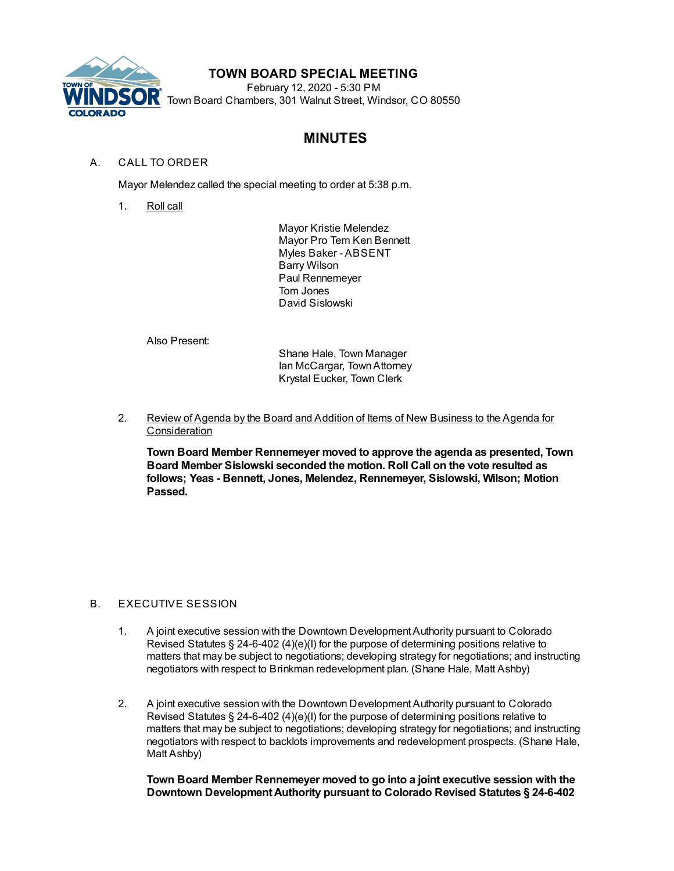

## **TOWN BOARD SPECIAL MEETING**

February 12, 2020 - 5:30 PM Town Board Chambers, 301 Walnut Street, Windsor, CO 80550

# **MINUTES**

#### A. CALL TO ORDER

Mayor Melendez called the special meeting to order at 5:38 p.m.

1. Roll call

Mayor Kristie Melendez Mayor Pro Tem Ken Bennett Myles Baker - ABSENT Barry Wilson Paul Rennemeyer Tom Jones David Sislowski

Also Present:

Shane Hale, Town Manager Ian McCargar, TownAttorney Krystal Eucker, Town Clerk

2. Review of Agenda by the Board and Addition of Items of New Business to the Agenda for **Consideration** 

**Town Board Member Rennemeyer moved to approve the agenda as presented, Town Board Member Sislowski seconded the motion. Roll Call on the vote resulted as follows; Yeas - Bennett, Jones, Melendez, Rennemeyer, Sislowski, Wilson; Motion Passed.**

### B. EXECUTIVE SESSION

- 1. A joint executive session with the Downtown Development Authority pursuant to Colorado Revised Statutes § 24-6-402 (4)(e)(I) for the purpose of determining positions relative to matters that may be subject to negotiations; developing strategy for negotiations; and instructing negotiators with respect to Brinkman redevelopment plan. (Shane Hale, Matt Ashby)
- 2. A joint executive session with the Downtown Development Authority pursuant to Colorado Revised Statutes § 24-6-402 (4)(e)(I) for the purpose of determining positions relative to matters that may be subject to negotiations; developing strategy for negotiations; and instructing negotiators with respect to backlots improvements and redevelopment prospects. (Shane Hale, Matt Ashby)

**Town Board Member Rennemeyer moved to go into a joint executive session with the Downtown DevelopmentAuthority pursuant to Colorado Revised Statutes § 24-6-402**